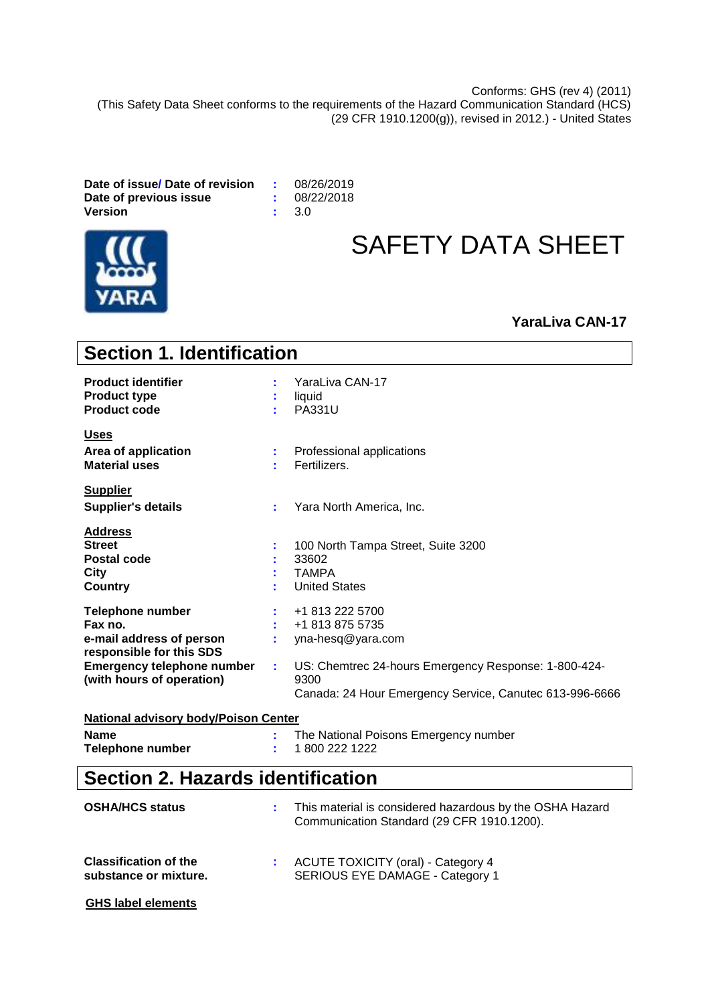Conforms: GHS (rev 4) (2011) (This Safety Data Sheet conforms to the requirements of the Hazard Communication Standard (HCS) (29 CFR 1910.1200(g)), revised in 2012.) - United States

**Date of issue/ Date of revision :** 08/26/2019 **Date of previous issue**  $\qquad$ **:** 08/2<br>Version  $\qquad$ : 3.0 **Version** 



# SAFETY DATA SHEET

# **YaraLiva CAN-17**

| <b>Section 1. Identification</b>                                                           |    |                                                                                                                         |  |  |  |  |
|--------------------------------------------------------------------------------------------|----|-------------------------------------------------------------------------------------------------------------------------|--|--|--|--|
| <b>Product identifier</b><br><b>Product type</b><br><b>Product code</b>                    |    | YaraLiva CAN-17<br>liquid<br>PA331U                                                                                     |  |  |  |  |
| <b>Uses</b><br>Area of application<br><b>Material uses</b>                                 | t  | Professional applications<br>Fertilizers.                                                                               |  |  |  |  |
| <b>Supplier</b><br><b>Supplier's details</b>                                               | t. | Yara North America, Inc.                                                                                                |  |  |  |  |
| <b>Address</b><br><b>Street</b><br>Postal code<br><b>City</b><br>Country                   |    | 100 North Tampa Street, Suite 3200<br>33602<br><b>TAMPA</b><br><b>United States</b>                                     |  |  |  |  |
| <b>Telephone number</b><br>Fax no.<br>e-mail address of person<br>responsible for this SDS |    | +1 813 222 5700<br>+1 813 875 5735<br>yna-hesq@yara.com                                                                 |  |  |  |  |
| <b>Emergency telephone number</b><br>(with hours of operation)                             | t  | US: Chemtrec 24-hours Emergency Response: 1-800-424-<br>9300<br>Canada: 24 Hour Emergency Service, Canutec 613-996-6666 |  |  |  |  |
| <b>National advisory body/Poison Center</b>                                                |    |                                                                                                                         |  |  |  |  |
| <b>Name</b><br><b>Telephone number</b>                                                     |    | The National Poisons Emergency number<br>1800 222 1222                                                                  |  |  |  |  |
| <b>Section 2. Hazards identification</b>                                                   |    |                                                                                                                         |  |  |  |  |
| <b>OSHA/HCS status</b>                                                                     |    | This material is considered hazardous by the OSHA Hazard<br>Communication Standard (29 CFR 1910.1200).                  |  |  |  |  |

| <b>Classification of the</b> | <b>ACUTE TOXICITY (oral) - Category 4</b> |
|------------------------------|-------------------------------------------|
| substance or mixture.        | SERIOUS EYE DAMAGE - Category 1           |

```
GHS label elements
```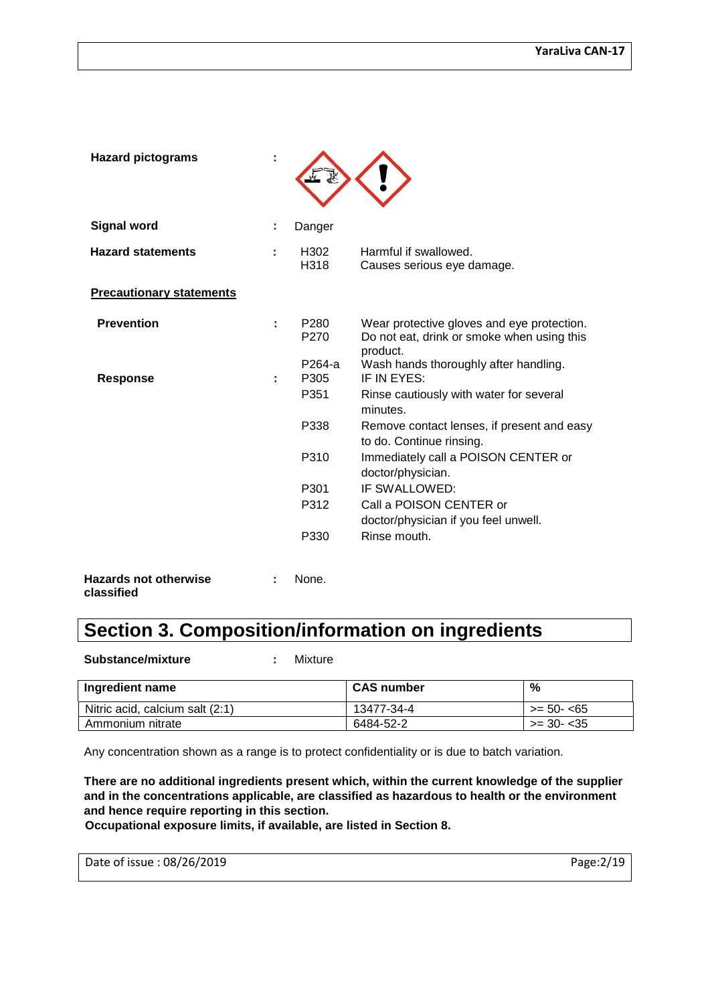| <b>Hazard pictograms</b>        |    |                                    |                                                                                                             |
|---------------------------------|----|------------------------------------|-------------------------------------------------------------------------------------------------------------|
| <b>Signal word</b>              | ÷  | Danger                             |                                                                                                             |
| <b>Hazard statements</b>        | ÷  | H <sub>302</sub><br>H318           | Harmful if swallowed.<br>Causes serious eye damage.                                                         |
| <b>Precautionary statements</b> |    |                                    |                                                                                                             |
| <b>Prevention</b>               | t. | P <sub>280</sub><br>P270           | Wear protective gloves and eye protection.<br>Do not eat, drink or smoke when using this<br>product.        |
| <b>Response</b>                 | t. | P264-a<br>P305<br>P <sub>351</sub> | Wash hands thoroughly after handling.<br>IF IN EYES:<br>Rinse cautiously with water for several<br>minutes. |
|                                 |    | P338                               | Remove contact lenses, if present and easy<br>to do. Continue rinsing.                                      |
|                                 |    | P310                               | Immediately call a POISON CENTER or<br>doctor/physician.                                                    |
|                                 |    | P301                               | IF SWALLOWED:                                                                                               |
|                                 |    | P312                               | Call a POISON CENTER or<br>doctor/physician if you feel unwell.                                             |
|                                 |    | P330                               | Rinse mouth.                                                                                                |
| <b>Hazards not otherwise</b>    |    | None.                              |                                                                                                             |

```
classified
```
# **Section 3. Composition/information on ingredients**

**Substance/mixture :** Mixture

| Ingredient name                 | <b>CAS number</b> | %                  |
|---------------------------------|-------------------|--------------------|
| Nitric acid, calcium salt (2:1) | 13477-34-4        | $>= 50 - 65$       |
| Ammonium nitrate                | 6484-52-2         | $\ge$ 30- $\lt$ 35 |

Any concentration shown as a range is to protect confidentiality or is due to batch variation.

**There are no additional ingredients present which, within the current knowledge of the supplier and in the concentrations applicable, are classified as hazardous to health or the environment and hence require reporting in this section.**

**Occupational exposure limits, if available, are listed in Section 8.**

Date of issue : 08/26/2019 Page:2/19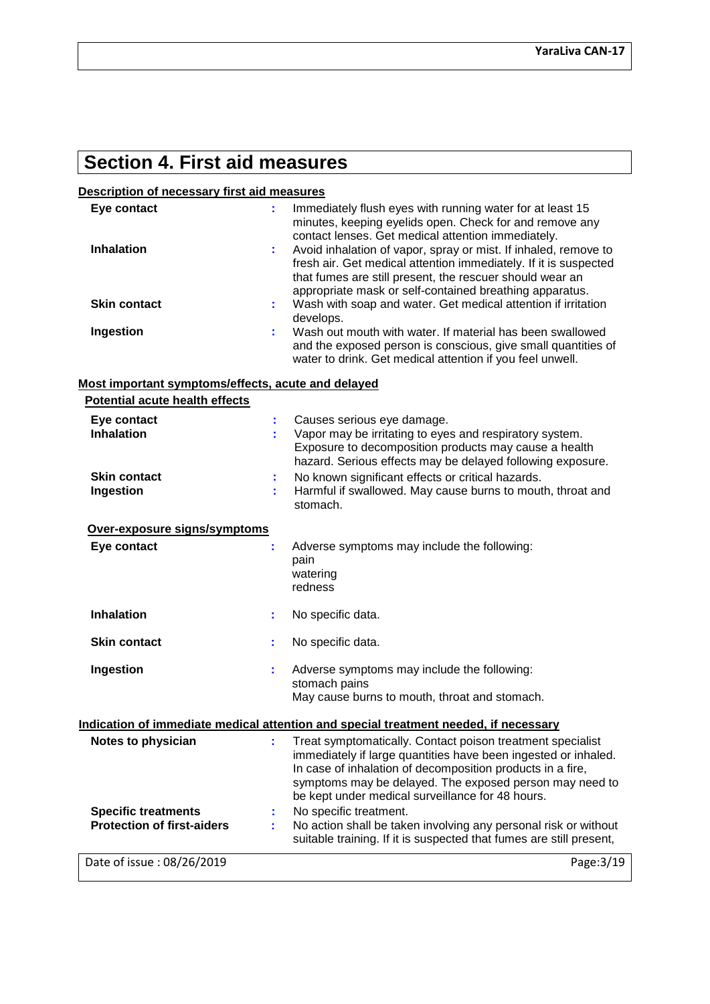# **Section 4. First aid measures**

# **Description of necessary first aid measures**

| Eye contact                                                     | ÷. | Immediately flush eyes with running water for at least 15<br>minutes, keeping eyelids open. Check for and remove any<br>contact lenses. Get medical attention immediately.                                                                                                                                |
|-----------------------------------------------------------------|----|-----------------------------------------------------------------------------------------------------------------------------------------------------------------------------------------------------------------------------------------------------------------------------------------------------------|
| <b>Inhalation</b>                                               | ÷. | Avoid inhalation of vapor, spray or mist. If inhaled, remove to<br>fresh air. Get medical attention immediately. If it is suspected<br>that fumes are still present, the rescuer should wear an<br>appropriate mask or self-contained breathing apparatus.                                                |
| <b>Skin contact</b>                                             | ÷. | Wash with soap and water. Get medical attention if irritation<br>develops.                                                                                                                                                                                                                                |
| Ingestion                                                       | t. | Wash out mouth with water. If material has been swallowed<br>and the exposed person is conscious, give small quantities of<br>water to drink. Get medical attention if you feel unwell.                                                                                                                   |
| Most important symptoms/effects, acute and delayed              |    |                                                                                                                                                                                                                                                                                                           |
| <b>Potential acute health effects</b>                           |    |                                                                                                                                                                                                                                                                                                           |
| Eye contact                                                     |    | Causes serious eye damage.                                                                                                                                                                                                                                                                                |
| <b>Inhalation</b>                                               | ÷  | Vapor may be irritating to eyes and respiratory system.<br>Exposure to decomposition products may cause a health<br>hazard. Serious effects may be delayed following exposure.                                                                                                                            |
| <b>Skin contact</b>                                             |    | No known significant effects or critical hazards.                                                                                                                                                                                                                                                         |
| Ingestion                                                       | ÷. | Harmful if swallowed. May cause burns to mouth, throat and<br>stomach.                                                                                                                                                                                                                                    |
| Over-exposure signs/symptoms                                    |    |                                                                                                                                                                                                                                                                                                           |
| Eye contact                                                     | ÷  | Adverse symptoms may include the following:<br>pain<br>watering<br>redness                                                                                                                                                                                                                                |
| <b>Inhalation</b>                                               | ÷. | No specific data.                                                                                                                                                                                                                                                                                         |
| <b>Skin contact</b>                                             | ÷. | No specific data.                                                                                                                                                                                                                                                                                         |
| Ingestion                                                       | t. | Adverse symptoms may include the following:                                                                                                                                                                                                                                                               |
|                                                                 |    | stomach pains                                                                                                                                                                                                                                                                                             |
|                                                                 |    | May cause burns to mouth, throat and stomach.                                                                                                                                                                                                                                                             |
|                                                                 |    | Indication of immediate medical attention and special treatment needed, if necessary                                                                                                                                                                                                                      |
| Notes to physician                                              |    | Treat symptomatically. Contact poison treatment specialist<br>immediately if large quantities have been ingested or inhaled.<br>In case of inhalation of decomposition products in a fire,<br>symptoms may be delayed. The exposed person may need to<br>be kept under medical surveillance for 48 hours. |
| <b>Specific treatments</b><br><b>Protection of first-aiders</b> | ÷. | No specific treatment.<br>No action shall be taken involving any personal risk or without<br>suitable training. If it is suspected that fumes are still present,                                                                                                                                          |
| Date of issue: 08/26/2019                                       |    | Page: 3/19                                                                                                                                                                                                                                                                                                |
|                                                                 |    |                                                                                                                                                                                                                                                                                                           |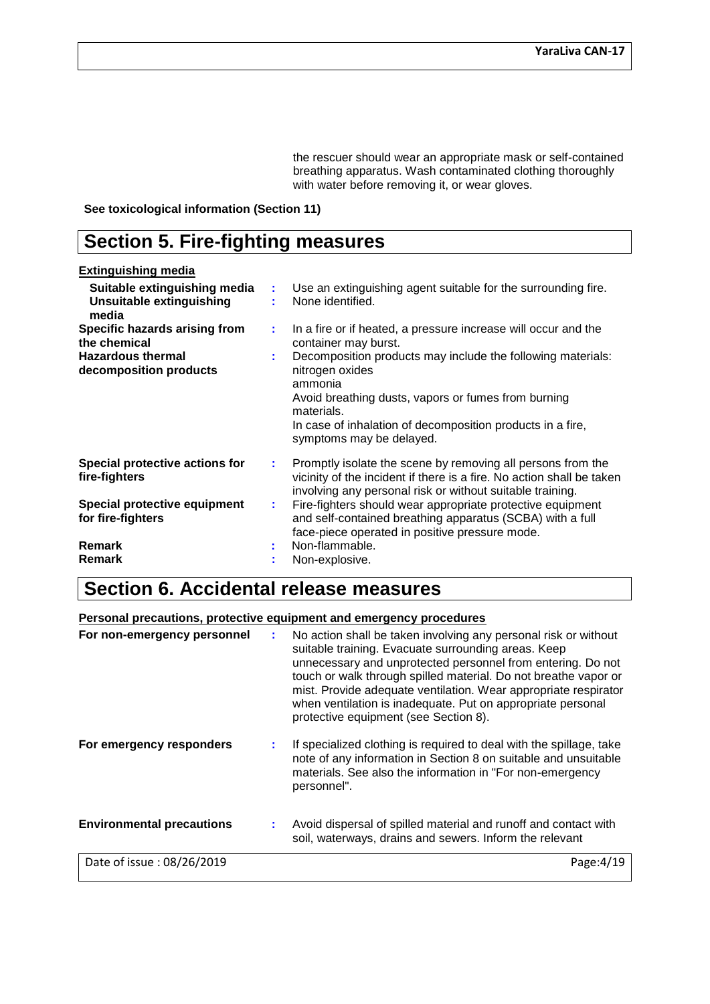the rescuer should wear an appropriate mask or self-contained breathing apparatus. Wash contaminated clothing thoroughly with water before removing it, or wear gloves.

**See toxicological information (Section 11)**

# **Section 5. Fire-fighting measures**

#### **Extinguishing media Suitable extinguishing media :** Use an extinguishing agent suitable for the surrounding fire. **Unsuitable extinguishing media :** None identified. **Specific hazards arising from the chemical :** In a fire or if heated, a pressure increase will occur and the container may burst. **Hazardous thermal decomposition products :** Decomposition products may include the following materials: nitrogen oxides ammonia Avoid breathing dusts, vapors or fumes from burning materials. In case of inhalation of decomposition products in a fire, symptoms may be delayed. **Special protective actions for fire-fighters :** Promptly isolate the scene by removing all persons from the vicinity of the incident if there is a fire. No action shall be taken involving any personal risk or without suitable training. **Special protective equipment for fire-fighters :** Fire-fighters should wear appropriate protective equipment and self-contained breathing apparatus (SCBA) with a full face-piece operated in positive pressure mode. **Remark :** Non-flammable.<br> **Remark :** Non-explosive **Remarka Remarka :** Non-explosive.

# **Section 6. Accidental release measures**

# **Personal precautions, protective equipment and emergency procedures**

| For non-emergency personnel      |  | No action shall be taken involving any personal risk or without<br>suitable training. Evacuate surrounding areas. Keep<br>unnecessary and unprotected personnel from entering. Do not<br>touch or walk through spilled material. Do not breathe vapor or<br>mist. Provide adequate ventilation. Wear appropriate respirator<br>when ventilation is inadequate. Put on appropriate personal<br>protective equipment (see Section 8). |  |  |  |  |
|----------------------------------|--|-------------------------------------------------------------------------------------------------------------------------------------------------------------------------------------------------------------------------------------------------------------------------------------------------------------------------------------------------------------------------------------------------------------------------------------|--|--|--|--|
| For emergency responders         |  | If specialized clothing is required to deal with the spillage, take<br>note of any information in Section 8 on suitable and unsuitable<br>materials. See also the information in "For non-emergency<br>personnel".                                                                                                                                                                                                                  |  |  |  |  |
| <b>Environmental precautions</b> |  | Avoid dispersal of spilled material and runoff and contact with<br>soil, waterways, drains and sewers. Inform the relevant                                                                                                                                                                                                                                                                                                          |  |  |  |  |
| Date of issue: 08/26/2019        |  | Page: $4/19$                                                                                                                                                                                                                                                                                                                                                                                                                        |  |  |  |  |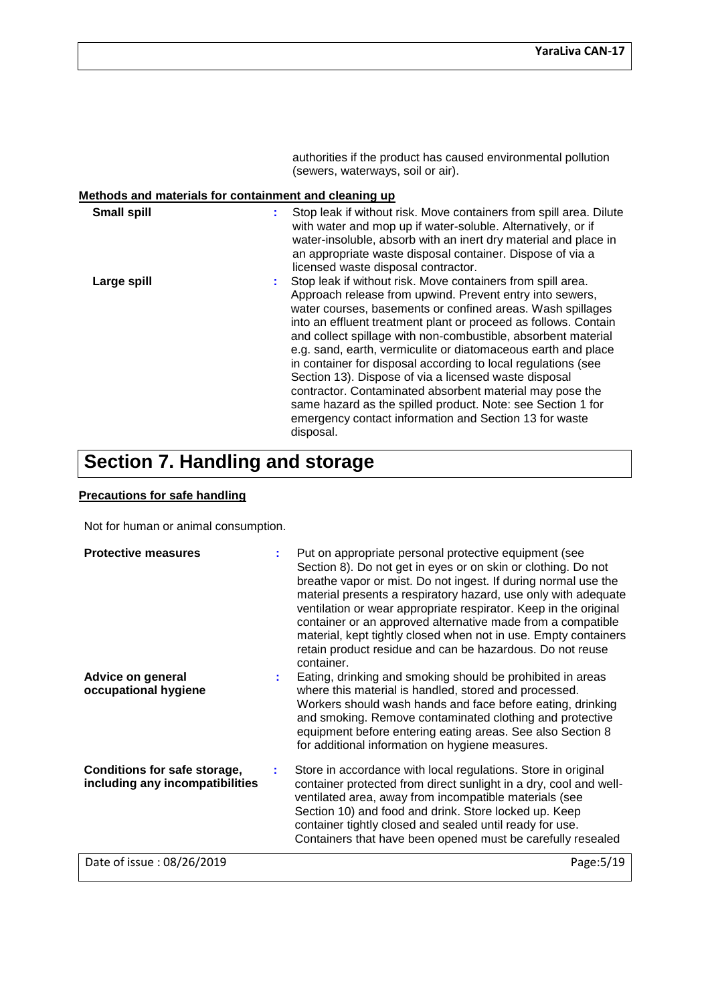authorities if the product has caused environmental pollution (sewers, waterways, soil or air).

# **Methods and materials for containment and cleaning up**

| <b>Small spill</b> | Stop leak if without risk. Move containers from spill area. Dilute<br>t<br>with water and mop up if water-soluble. Alternatively, or if<br>water-insoluble, absorb with an inert dry material and place in<br>an appropriate waste disposal container. Dispose of via a<br>licensed waste disposal contractor.                                                                                                                                                                                                                                                                                                                                                                                                              |
|--------------------|-----------------------------------------------------------------------------------------------------------------------------------------------------------------------------------------------------------------------------------------------------------------------------------------------------------------------------------------------------------------------------------------------------------------------------------------------------------------------------------------------------------------------------------------------------------------------------------------------------------------------------------------------------------------------------------------------------------------------------|
| Large spill        | Stop leak if without risk. Move containers from spill area.<br>÷<br>Approach release from upwind. Prevent entry into sewers,<br>water courses, basements or confined areas. Wash spillages<br>into an effluent treatment plant or proceed as follows. Contain<br>and collect spillage with non-combustible, absorbent material<br>e.g. sand, earth, vermiculite or diatomaceous earth and place<br>in container for disposal according to local regulations (see<br>Section 13). Dispose of via a licensed waste disposal<br>contractor. Contaminated absorbent material may pose the<br>same hazard as the spilled product. Note: see Section 1 for<br>emergency contact information and Section 13 for waste<br>disposal. |

# **Section 7. Handling and storage**

# **Precautions for safe handling**

Not for human or animal consumption.

| <b>Protective measures</b>                                             |   | Put on appropriate personal protective equipment (see<br>Section 8). Do not get in eyes or on skin or clothing. Do not<br>breathe vapor or mist. Do not ingest. If during normal use the<br>material presents a respiratory hazard, use only with adequate<br>ventilation or wear appropriate respirator. Keep in the original<br>container or an approved alternative made from a compatible<br>material, kept tightly closed when not in use. Empty containers<br>retain product residue and can be hazardous. Do not reuse<br>container. |
|------------------------------------------------------------------------|---|---------------------------------------------------------------------------------------------------------------------------------------------------------------------------------------------------------------------------------------------------------------------------------------------------------------------------------------------------------------------------------------------------------------------------------------------------------------------------------------------------------------------------------------------|
| Advice on general<br>occupational hygiene                              |   | Eating, drinking and smoking should be prohibited in areas<br>where this material is handled, stored and processed.<br>Workers should wash hands and face before eating, drinking<br>and smoking. Remove contaminated clothing and protective<br>equipment before entering eating areas. See also Section 8<br>for additional information on hygiene measures.                                                                                                                                                                              |
| <b>Conditions for safe storage,</b><br>including any incompatibilities | ÷ | Store in accordance with local regulations. Store in original<br>container protected from direct sunlight in a dry, cool and well-<br>ventilated area, away from incompatible materials (see<br>Section 10) and food and drink. Store locked up. Keep<br>container tightly closed and sealed until ready for use.<br>Containers that have been opened must be carefully resealed                                                                                                                                                            |
| Date of issue: 08/26/2019                                              |   | Page: 5/19                                                                                                                                                                                                                                                                                                                                                                                                                                                                                                                                  |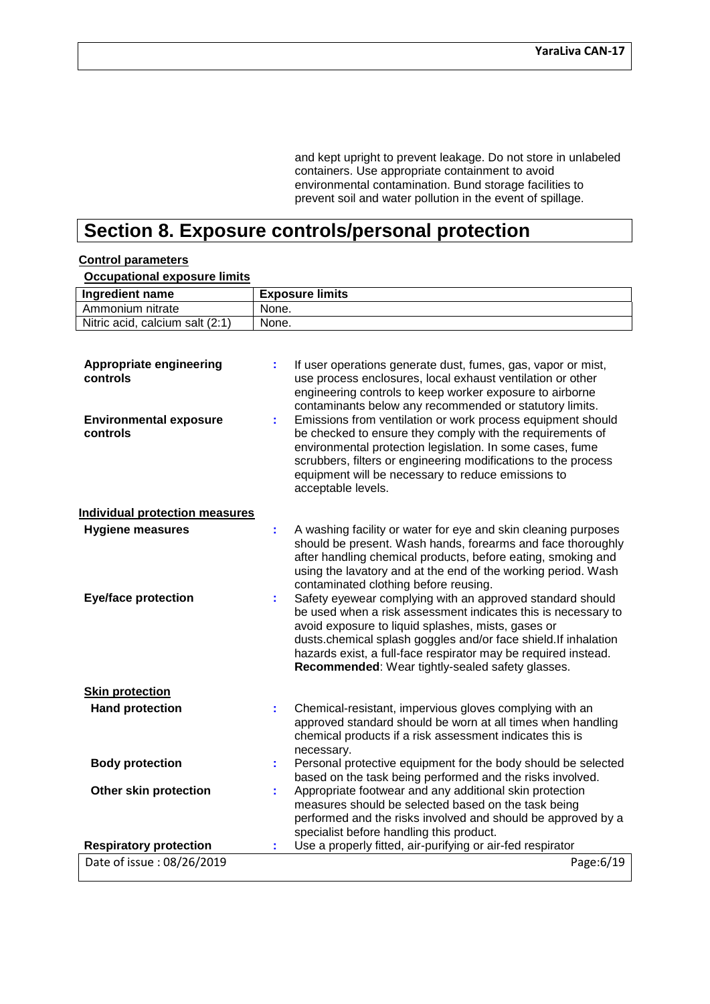and kept upright to prevent leakage. Do not store in unlabeled containers. Use appropriate containment to avoid environmental contamination. Bund storage facilities to prevent soil and water pollution in the event of spillage.

# **Section 8. Exposure controls/personal protection**

### Date of issue : 08/26/2019 Page:6/19 **Ingredient name Exposure limits** Ammonium nitrate | None. Nitric acid, calcium salt  $(2:1)$  None. **Appropriate engineering controls :** If user operations generate dust, fumes, gas, vapor or mist, use process enclosures, local exhaust ventilation or other engineering controls to keep worker exposure to airborne contaminants below any recommended or statutory limits. **Environmental exposure controls :** Emissions from ventilation or work process equipment should be checked to ensure they comply with the requirements of environmental protection legislation. In some cases, fume scrubbers, filters or engineering modifications to the process equipment will be necessary to reduce emissions to acceptable levels. **Individual protection measures Hygiene measures :** A washing facility or water for eye and skin cleaning purposes should be present. Wash hands, forearms and face thoroughly after handling chemical products, before eating, smoking and using the lavatory and at the end of the working period. Wash contaminated clothing before reusing. **Eye/face protection :** Safety eyewear complying with an approved standard should be used when a risk assessment indicates this is necessary to avoid exposure to liquid splashes, mists, gases or dusts.chemical splash goggles and/or face shield.If inhalation hazards exist, a full-face respirator may be required instead. **Recommended**: Wear tightly-sealed safety glasses. **Skin protection Hand protection <b>:** Chemical-resistant, impervious gloves complying with an approved standard should be worn at all times when handling chemical products if a risk assessment indicates this is necessary. **Body protection <b>:** Personal protective equipment for the body should be selected based on the task being performed and the risks involved. **Other skin protection <b>:** Appropriate footwear and any additional skin protection measures should be selected based on the task being performed and the risks involved and should be approved by a specialist before handling this product. **Respiratory protection :** Use a properly fitted, air-purifying or air-fed respirator

#### **Control parameters**

## **Occupational exposure limits**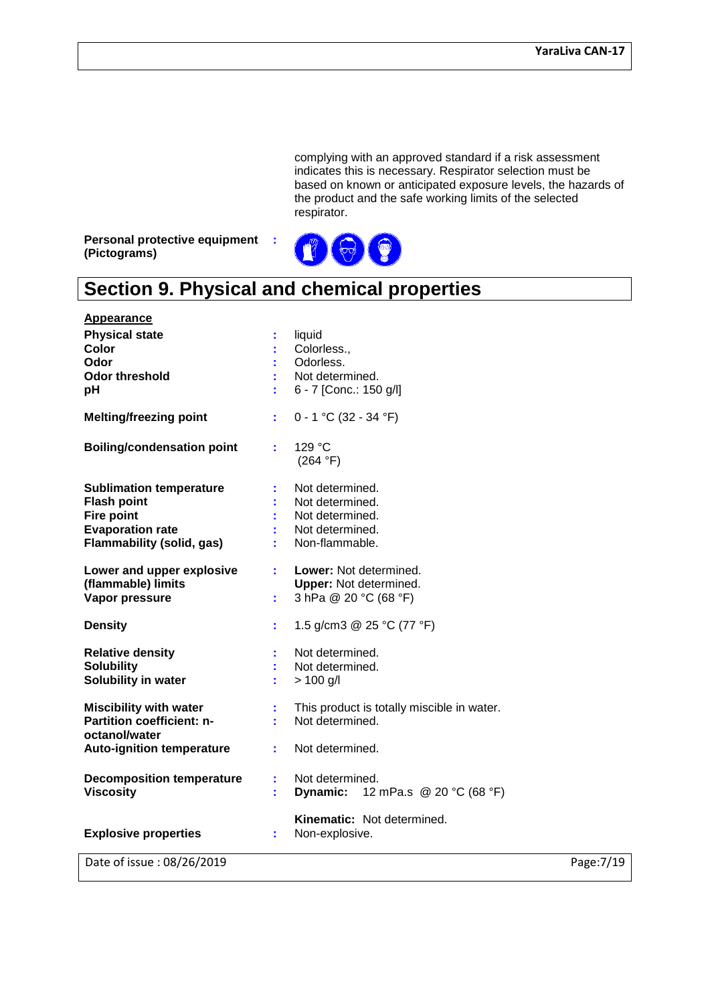complying with an approved standard if a risk assessment indicates this is necessary. Respirator selection must be based on known or anticipated exposure levels, the hazards of the product and the safe working limits of the selected respirator.

**Personal protective equipment : (Pictograms)**



# **Section 9. Physical and chemical properties**

| Date of issue: 08/26/2019                                                                                                                |                                                                                            | Page: 7/19 |
|------------------------------------------------------------------------------------------------------------------------------------------|--------------------------------------------------------------------------------------------|------------|
| <b>Explosive properties</b>                                                                                                              | <b>Kinematic: Not determined.</b><br>Non-explosive.<br>t.                                  |            |
| <b>Decomposition temperature</b><br><b>Viscosity</b>                                                                                     | Not determined.<br><b>Dynamic:</b> 12 mPa.s @ 20 °C (68 °F)                                |            |
| <b>Auto-ignition temperature</b>                                                                                                         | Not determined.                                                                            |            |
| <b>Miscibility with water</b><br>Partition coefficient: n-<br>octanol/water                                                              | This product is totally miscible in water.<br>Not determined.                              |            |
| <b>Relative density</b><br><b>Solubility</b><br>Solubility in water                                                                      | Not determined.<br>Not determined.<br>$> 100$ g/l                                          |            |
| <b>Density</b>                                                                                                                           | 1.5 g/cm3 @ 25 °C (77 °F)                                                                  |            |
| Lower and upper explosive<br>(flammable) limits<br>Vapor pressure                                                                        | Lower: Not determined.<br><b>Upper:</b> Not determined.<br>3 hPa @ 20 °C (68 °F)<br>÷.     |            |
| <b>Sublimation temperature</b><br><b>Flash point</b><br><b>Fire point</b><br><b>Evaporation rate</b><br><b>Flammability (solid, gas)</b> | Not determined.<br>Not determined.<br>Not determined.<br>Not determined.<br>Non-flammable. |            |
| <b>Boiling/condensation point</b>                                                                                                        | 129 °C<br>÷<br>(264 °F)                                                                    |            |
| <b>Melting/freezing point</b>                                                                                                            | $0 - 1$ °C (32 - 34 °F)<br>÷.                                                              |            |
| <b>Appearance</b><br><b>Physical state</b><br>Color<br>Odor<br><b>Odor threshold</b><br>pH                                               | liquid<br>t<br>Colorless.,<br>Odorless.<br>Not determined.<br>6 - 7 [Conc.: 150 g/l]       |            |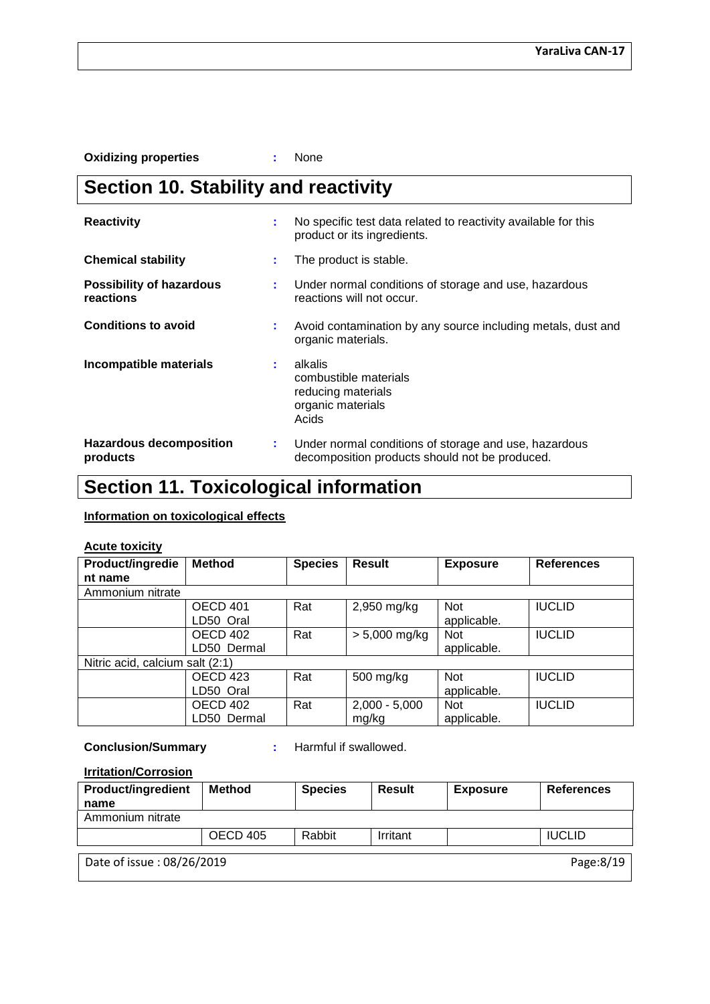**Oxidizing properties :** None

# **Section 10. Stability and reactivity**

| <b>Reactivity</b>                            | ÷  | No specific test data related to reactivity available for this<br>product or its ingredients.           |  |  |  |
|----------------------------------------------|----|---------------------------------------------------------------------------------------------------------|--|--|--|
| <b>Chemical stability</b>                    | ÷  | The product is stable.                                                                                  |  |  |  |
| <b>Possibility of hazardous</b><br>reactions | ÷. | Under normal conditions of storage and use, hazardous<br>reactions will not occur.                      |  |  |  |
| <b>Conditions to avoid</b>                   | ÷  | Avoid contamination by any source including metals, dust and<br>organic materials.                      |  |  |  |
| Incompatible materials                       | ÷. | alkalis<br>combustible materials<br>reducing materials<br>organic materials<br>Acids                    |  |  |  |
| <b>Hazardous decomposition</b><br>products   | ÷  | Under normal conditions of storage and use, hazardous<br>decomposition products should not be produced. |  |  |  |

# **Section 11. Toxicological information**

# **Information on toxicological effects**

# **Acute toxicity**

| Product/ingredie                | <b>Method</b>   | <b>Species</b> | <b>Result</b>   | <b>Exposure</b> | <b>References</b> |  |
|---------------------------------|-----------------|----------------|-----------------|-----------------|-------------------|--|
| nt name                         |                 |                |                 |                 |                   |  |
| Ammonium nitrate                |                 |                |                 |                 |                   |  |
|                                 | OECD 401        | Rat            | 2,950 mg/kg     | Not             | <b>IUCLID</b>     |  |
|                                 | LD50 Oral       |                |                 | applicable.     |                   |  |
|                                 | OECD 402        | Rat            | $> 5,000$ mg/kg | Not             | <b>IUCLID</b>     |  |
|                                 | LD50 Dermal     |                |                 | applicable.     |                   |  |
| Nitric acid, calcium salt (2:1) |                 |                |                 |                 |                   |  |
|                                 | OECD 423        | Rat            | 500 mg/kg       | <b>Not</b>      | <b>IUCLID</b>     |  |
|                                 | LD50 Oral       |                |                 | applicable.     |                   |  |
|                                 | <b>OECD 402</b> | Rat            | $2,000 - 5,000$ | <b>Not</b>      | <b>IUCLID</b>     |  |
|                                 | LD50 Dermal     |                | mg/kg           | applicable.     |                   |  |

**Conclusion/Summary :** Harmful if swallowed.

# **Irritation/Corrosion**

| <b>Product/ingredient</b>              | <b>Method</b> | <b>Species</b> | <b>Result</b> | <b>Exposure</b> | <b>References</b> |  |  |
|----------------------------------------|---------------|----------------|---------------|-----------------|-------------------|--|--|
| name                                   |               |                |               |                 |                   |  |  |
| Ammonium nitrate                       |               |                |               |                 |                   |  |  |
|                                        | OECD 405      | Rabbit         | Irritant      |                 | <b>IUCLID</b>     |  |  |
| Date of issue: 08/26/2019<br>Page:8/19 |               |                |               |                 |                   |  |  |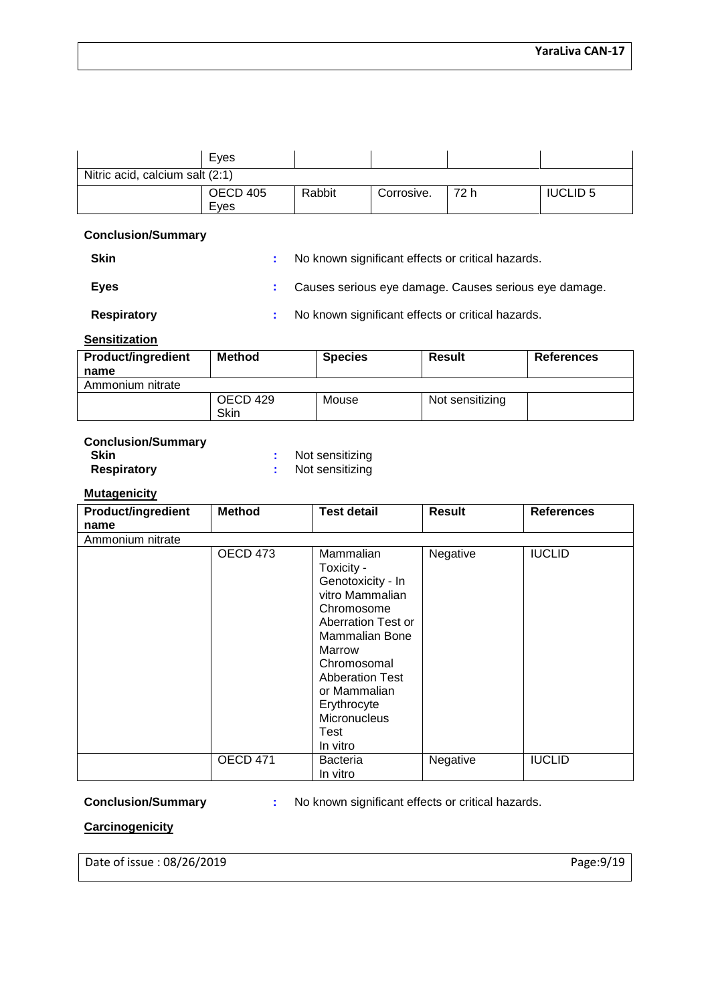|                                 | Eyes                    |        |            |      |                 |
|---------------------------------|-------------------------|--------|------------|------|-----------------|
| Nitric acid, calcium salt (2:1) |                         |        |            |      |                 |
|                                 | <b>OECD 405</b><br>Eves | Rabbit | Corrosive. | 72 h | <b>IUCLID 5</b> |

## **Conclusion/Summary**

**:** No known significant effects or critical hazards.

**Eyes :** Causes serious eye damage. Causes serious eye damage.

**Respiratory :** No known significant effects or critical hazards.

## **Sensitization**

| <b>Product/ingredient</b><br>name | <b>Method</b>    | <b>Species</b> | <b>Result</b>   | <b>References</b> |
|-----------------------------------|------------------|----------------|-----------------|-------------------|
| Ammonium nitrate                  |                  |                |                 |                   |
|                                   | OECD 429<br>Skin | Mouse          | Not sensitizing |                   |

# **Conclusion/Summary**

**Skin**<br> **Respiratory**<br> **:** Not sensitizing<br> **:** Not sensitizing

**:** Not sensitizing

# **Mutagenicity**

| <b>Product/ingredient</b><br>name | <b>Method</b> | <b>Test detail</b>                                                                                                                                                                                                                          | <b>Result</b> | <b>References</b> |
|-----------------------------------|---------------|---------------------------------------------------------------------------------------------------------------------------------------------------------------------------------------------------------------------------------------------|---------------|-------------------|
| Ammonium nitrate                  |               |                                                                                                                                                                                                                                             |               |                   |
|                                   | OECD 473      | Mammalian<br>Toxicity -<br>Genotoxicity - In<br>vitro Mammalian<br>Chromosome<br>Aberration Test or<br>Mammalian Bone<br>Marrow<br>Chromosomal<br><b>Abberation Test</b><br>or Mammalian<br>Erythrocyte<br>Micronucleus<br>Test<br>In vitro | Negative      | <b>IUCLID</b>     |
|                                   | OECD 471      | <b>Bacteria</b><br>In vitro                                                                                                                                                                                                                 | Negative      | <b>IUCLID</b>     |

**Conclusion/Summary :** No known significant effects or critical hazards.

# **Carcinogenicity**

Date of issue : 08/26/2019 Page:9/19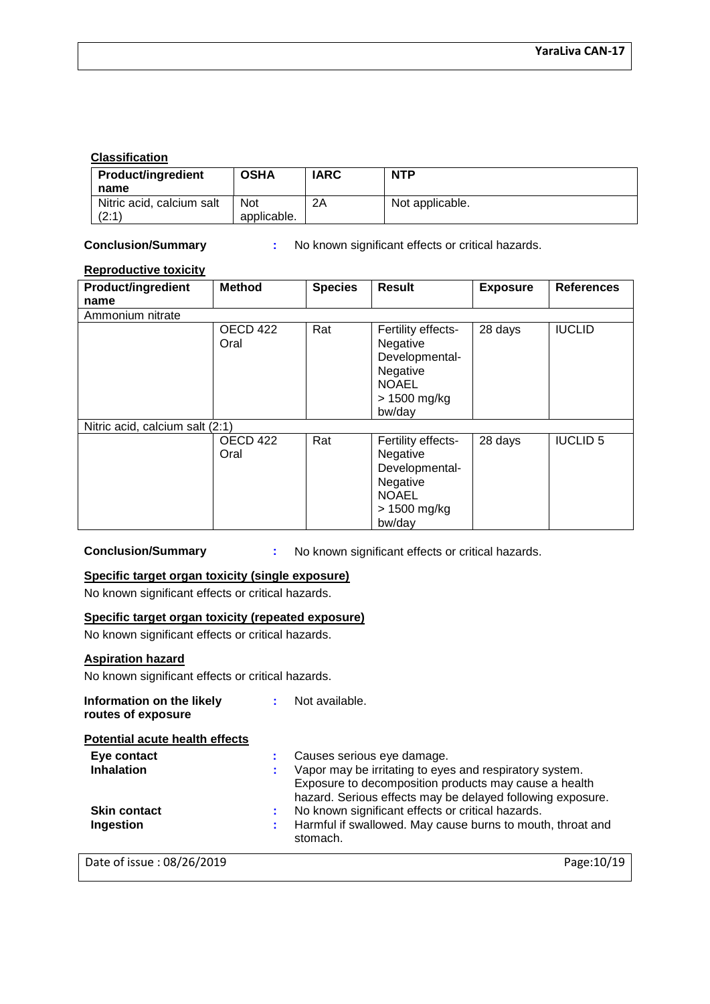# **Classification**

| <b>Product/ingredient</b> | <b>OSHA</b> | IARC | <b>NTP</b>      |
|---------------------------|-------------|------|-----------------|
| name                      |             |      |                 |
| Nitric acid, calcium salt | <b>Not</b>  | 2Α   | Not applicable. |
| (2:1)                     | applicable. |      |                 |

**Conclusion/Summary :** No known significant effects or critical hazards.

# **Reproductive toxicity**

| <b>Product/ingredient</b>       | <b>Method</b>    | <b>Species</b> | <b>Result</b>                                                                                          | <b>Exposure</b> | <b>References</b> |
|---------------------------------|------------------|----------------|--------------------------------------------------------------------------------------------------------|-----------------|-------------------|
| name                            |                  |                |                                                                                                        |                 |                   |
| Ammonium nitrate                |                  |                |                                                                                                        |                 |                   |
|                                 | OECD 422<br>Oral | Rat            | Fertility effects-<br>Negative<br>Developmental-<br>Negative<br><b>NOAEL</b><br>> 1500 mg/kg<br>bw/day | 28 days         | <b>IUCLID</b>     |
| Nitric acid, calcium salt (2:1) |                  |                |                                                                                                        |                 |                   |
|                                 | OECD 422<br>Oral | Rat            | Fertility effects-<br>Negative<br>Developmental-<br>Negative<br><b>NOAEL</b><br>> 1500 mg/kg<br>bw/day | 28 days         | <b>IUCLID 5</b>   |

**Conclusion/Summary :** No known significant effects or critical hazards.

# **Specific target organ toxicity (single exposure)**

No known significant effects or critical hazards.

# **Specific target organ toxicity (repeated exposure)**

No known significant effects or critical hazards.

# **Aspiration hazard**

No known significant effects or critical hazards.

| Information on the likely<br>routes of exposure |   | Not available.                                                                                                                                                                 |
|-------------------------------------------------|---|--------------------------------------------------------------------------------------------------------------------------------------------------------------------------------|
| Potential acute health effects                  |   |                                                                                                                                                                                |
| Eye contact                                     |   | Causes serious eye damage.                                                                                                                                                     |
| <b>Inhalation</b>                               | × | Vapor may be irritating to eyes and respiratory system.<br>Exposure to decomposition products may cause a health<br>hazard. Serious effects may be delayed following exposure. |
| <b>Skin contact</b>                             | ÷ | No known significant effects or critical hazards.                                                                                                                              |
| Ingestion                                       |   | Harmful if swallowed. May cause burns to mouth, throat and<br>stomach.                                                                                                         |
| Date of issue: 08/26/2019                       |   | Page: 10/19                                                                                                                                                                    |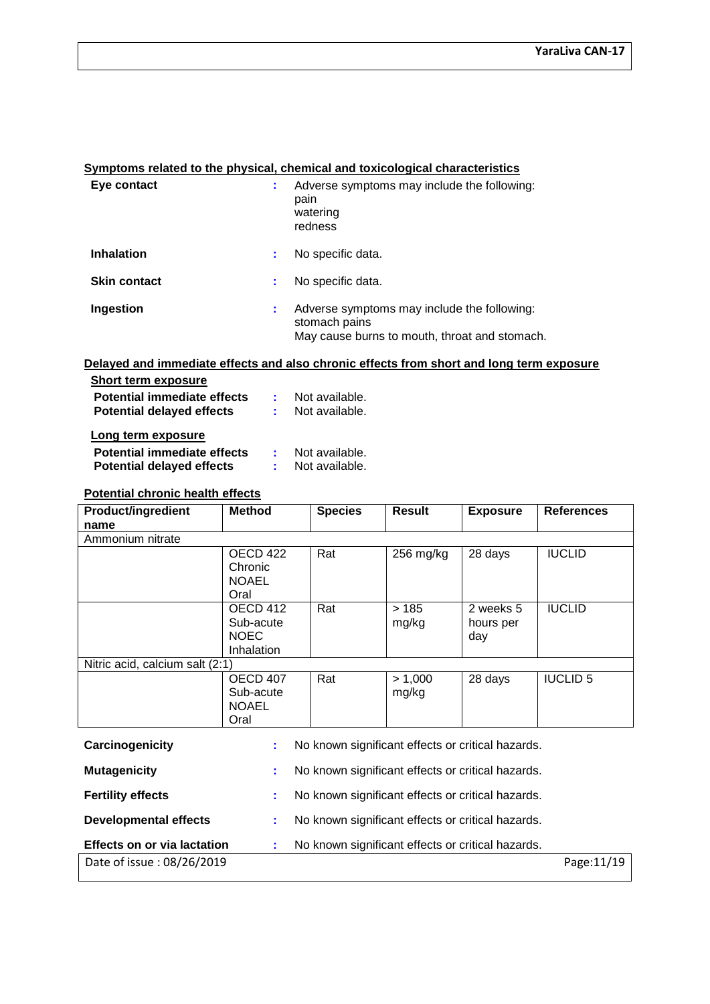# **Symptoms related to the physical, chemical and toxicological characteristics**

| Eye contact         |    | Adverse symptoms may include the following:<br>pain<br>watering<br>redness                                    |
|---------------------|----|---------------------------------------------------------------------------------------------------------------|
| <b>Inhalation</b>   |    | No specific data.                                                                                             |
| <b>Skin contact</b> |    | No specific data.                                                                                             |
| Ingestion           | ÷. | Adverse symptoms may include the following:<br>stomach pains<br>May cause burns to mouth, throat and stomach. |

# **Delayed and immediate effects and also chronic effects from short and long term exposure**

| <b>Short term exposure</b>                                      |                                  |
|-----------------------------------------------------------------|----------------------------------|
| Potential immediate effects<br><b>Potential delayed effects</b> | Not available.<br>Not available. |
| Long term exposure                                              |                                  |

| <b>Potential immediate effects</b> | Not available. |
|------------------------------------|----------------|
| <b>Potential delayed effects</b>   | Not available. |

# **Potential chronic health effects**

| <b>Product/ingredient</b>       | <b>Method</b>                                      | <b>Species</b> | <b>Result</b>    | <b>Exposure</b>               | <b>References</b> |
|---------------------------------|----------------------------------------------------|----------------|------------------|-------------------------------|-------------------|
| name                            |                                                    |                |                  |                               |                   |
| Ammonium nitrate                |                                                    |                |                  |                               |                   |
|                                 | OECD 422<br>Chronic<br><b>NOAEL</b><br>Oral        | Rat            | $256$ mg/kg      | 28 days                       | <b>IUCLID</b>     |
|                                 | OECD 412<br>Sub-acute<br><b>NOEC</b><br>Inhalation | Rat            | >185<br>mg/kg    | 2 weeks 5<br>hours per<br>day | <b>IUCLID</b>     |
| Nitric acid, calcium salt (2:1) |                                                    |                |                  |                               |                   |
|                                 | OECD 407<br>Sub-acute<br><b>NOAEL</b><br>Oral      | Rat            | > 1,000<br>mg/kg | 28 days                       | <b>IUCLID 5</b>   |

| Carcinogenicity                    | No known significant effects or critical hazards. |             |
|------------------------------------|---------------------------------------------------|-------------|
| <b>Mutagenicity</b>                | No known significant effects or critical hazards. |             |
| <b>Fertility effects</b>           | No known significant effects or critical hazards. |             |
| <b>Developmental effects</b>       | No known significant effects or critical hazards. |             |
| <b>Effects on or via lactation</b> | No known significant effects or critical hazards. |             |
| Date of issue: 08/26/2019          |                                                   | Page: 11/19 |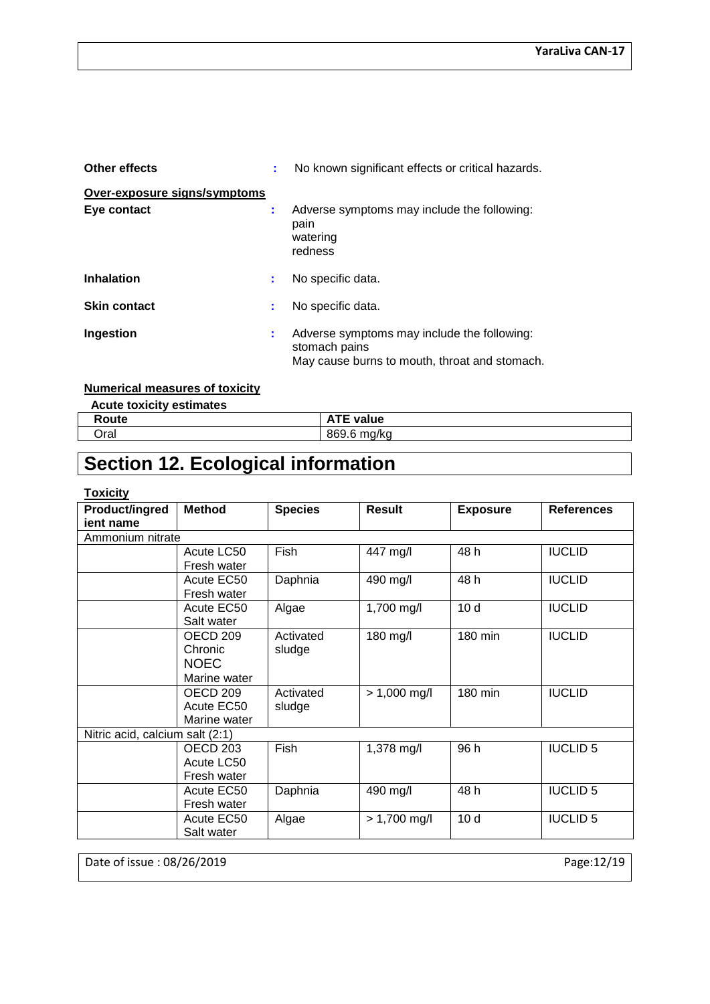| <b>Other effects</b>         |   | No known significant effects or critical hazards.                                                             |
|------------------------------|---|---------------------------------------------------------------------------------------------------------------|
| Over-exposure signs/symptoms |   |                                                                                                               |
| Eye contact                  | ÷ | Adverse symptoms may include the following:<br>pain<br>watering<br>redness                                    |
| <b>Inhalation</b>            | и | No specific data.                                                                                             |
| <b>Skin contact</b>          | ÷ | No specific data.                                                                                             |
| Ingestion                    | ÷ | Adverse symptoms may include the following:<br>stomach pains<br>May cause burns to mouth, throat and stomach. |

# **Numerical measures of toxicity**

| <b>Acute toxicity estimates</b> |                  |
|---------------------------------|------------------|
| Route                           | <b>ATE value</b> |
| วral                            | 869.6 mg/kg      |

# **Section 12. Ecological information**

# **Toxicity**

| Product/ingred                  | <b>Method</b> | <b>Species</b> | <b>Result</b>  | <b>Exposure</b> | <b>References</b> |
|---------------------------------|---------------|----------------|----------------|-----------------|-------------------|
| jent name                       |               |                |                |                 |                   |
| Ammonium nitrate                |               |                |                |                 |                   |
|                                 | Acute LC50    | Fish           | 447 mg/l       | 48 h            | <b>IUCLID</b>     |
|                                 | Fresh water   |                |                |                 |                   |
|                                 | Acute EC50    | Daphnia        | 490 mg/l       | 48 h            | <b>IUCLID</b>     |
|                                 | Fresh water   |                |                |                 |                   |
|                                 | Acute EC50    | Algae          | 1,700 mg/l     | 10 <sub>d</sub> | <b>IUCLID</b>     |
|                                 | Salt water    |                |                |                 |                   |
|                                 | OECD 209      | Activated      | 180 mg/l       | 180 min         | <b>IUCLID</b>     |
|                                 | Chronic       | sludge         |                |                 |                   |
|                                 | <b>NOEC</b>   |                |                |                 |                   |
|                                 | Marine water  |                |                |                 |                   |
|                                 | OECD 209      | Activated      | $> 1,000$ mg/l | 180 min         | <b>IUCLID</b>     |
|                                 | Acute EC50    | sludge         |                |                 |                   |
|                                 | Marine water  |                |                |                 |                   |
| Nitric acid, calcium salt (2:1) |               |                |                |                 |                   |
|                                 | OECD 203      | Fish           | 1,378 mg/l     | 96 h            | <b>IUCLID 5</b>   |
|                                 | Acute LC50    |                |                |                 |                   |
|                                 | Fresh water   |                |                |                 |                   |
|                                 | Acute EC50    | Daphnia        | 490 mg/l       | 48 h            | <b>IUCLID 5</b>   |
|                                 | Fresh water   |                |                |                 |                   |
|                                 | Acute EC50    | Algae          | $> 1,700$ mg/l | 10 <sub>d</sub> | <b>IUCLID 5</b>   |
|                                 | Salt water    |                |                |                 |                   |

Date of issue : 08/26/2019 Page:12/19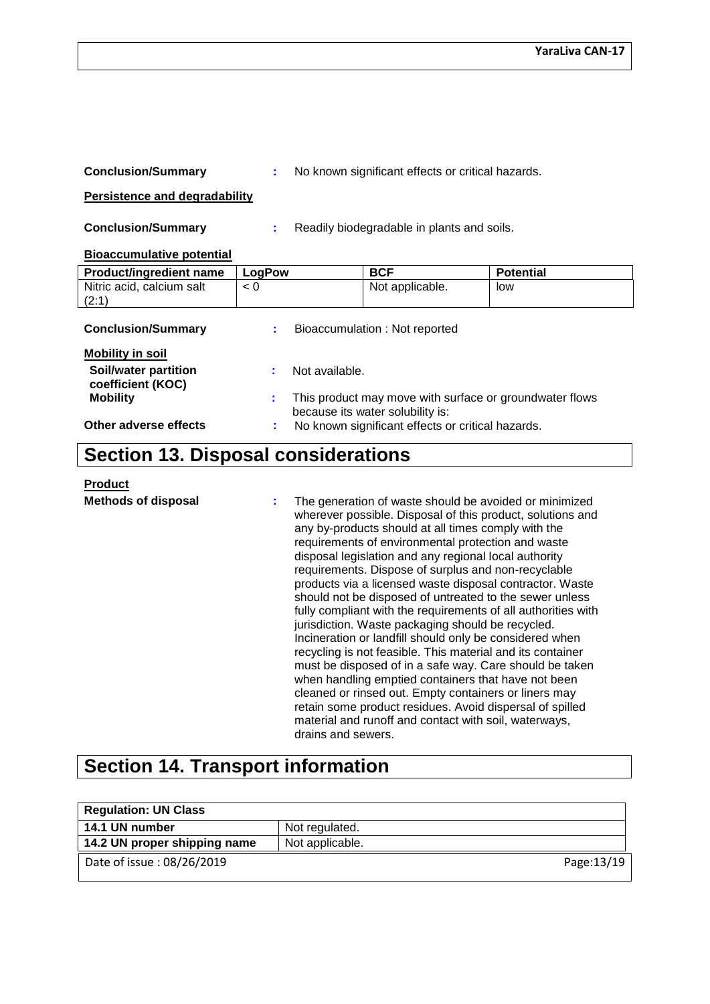| <b>Conclusion/Summary</b>                  |        | No known significant effects or critical hazards.                                           |                  |
|--------------------------------------------|--------|---------------------------------------------------------------------------------------------|------------------|
| <b>Persistence and degradability</b>       |        |                                                                                             |                  |
| <b>Conclusion/Summary</b>                  |        | Readily biodegradable in plants and soils.                                                  |                  |
| <b>Bioaccumulative potential</b>           |        |                                                                                             |                  |
| Product/ingredient name                    | LogPow | <b>BCF</b>                                                                                  | <b>Potential</b> |
| Nitric acid, calcium salt<br>(2:1)         | < 0    | Not applicable.                                                                             | low              |
| <b>Conclusion/Summary</b>                  |        | Bioaccumulation: Not reported                                                               |                  |
| <b>Mobility in soil</b>                    |        |                                                                                             |                  |
| Soil/water partition<br>coefficient (KOC)  |        | Not available.                                                                              |                  |
| <b>Mobility</b>                            | ÷      | This product may move with surface or groundwater flows<br>because its water solubility is: |                  |
| Other adverse effects                      |        | No known significant effects or critical hazards.                                           |                  |
| <b>Section 13. Disposal considerations</b> |        |                                                                                             |                  |

### **Product**

**Methods of disposal :** The generation of waste should be avoided or minimized wherever possible. Disposal of this product, solutions and any by-products should at all times comply with the requirements of environmental protection and waste disposal legislation and any regional local authority requirements. Dispose of surplus and non-recyclable products via a licensed waste disposal contractor. Waste should not be disposed of untreated to the sewer unless fully compliant with the requirements of all authorities with jurisdiction. Waste packaging should be recycled. Incineration or landfill should only be considered when recycling is not feasible. This material and its container must be disposed of in a safe way. Care should be taken when handling emptied containers that have not been cleaned or rinsed out. Empty containers or liners may retain some product residues. Avoid dispersal of spilled material and runoff and contact with soil, waterways, drains and sewers.

# **Section 14. Transport information**

| <b>Regulation: UN Class</b>  |                 |
|------------------------------|-----------------|
| 14.1 UN number               | Not regulated.  |
| 14.2 UN proper shipping name | Not applicable. |
| Date of issue: 08/26/2019    | Page:13/19      |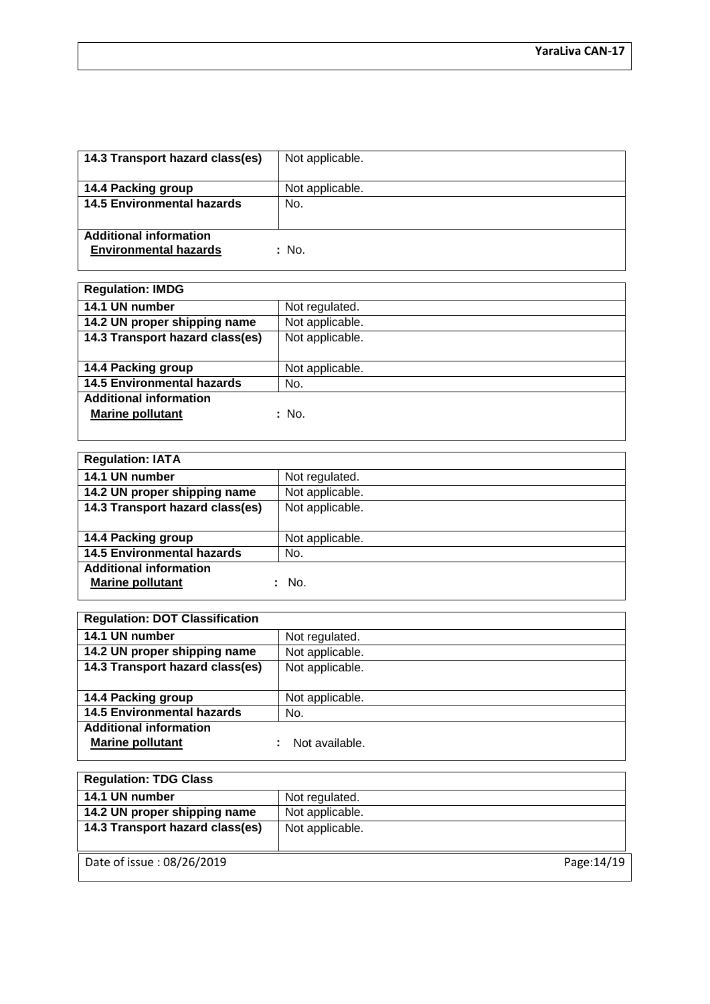| 14.3 Transport hazard class(es)                               | Not applicable. |
|---------------------------------------------------------------|-----------------|
| 14.4 Packing group                                            | Not applicable. |
| <b>14.5 Environmental hazards</b>                             | No.             |
| <b>Additional information</b><br><b>Environmental hazards</b> | : No.           |

| <b>Regulation: IMDG</b>           |                 |
|-----------------------------------|-----------------|
| 14.1 UN number                    | Not regulated.  |
| 14.2 UN proper shipping name      | Not applicable. |
| 14.3 Transport hazard class(es)   | Not applicable. |
|                                   |                 |
| 14.4 Packing group                | Not applicable. |
| <b>14.5 Environmental hazards</b> | No.             |
| <b>Additional information</b>     |                 |
| <b>Marine pollutant</b>           | : No.           |
|                                   |                 |

| <b>Regulation: IATA</b>           |                 |
|-----------------------------------|-----------------|
| 14.1 UN number                    | Not regulated.  |
| 14.2 UN proper shipping name      | Not applicable. |
| 14.3 Transport hazard class(es)   | Not applicable. |
|                                   |                 |
| 14.4 Packing group                | Not applicable. |
| <b>14.5 Environmental hazards</b> | No.             |
| <b>Additional information</b>     |                 |
| <b>Marine pollutant</b>           | : No.           |
|                                   |                 |

| <b>Regulation: DOT Classification</b> |                 |  |
|---------------------------------------|-----------------|--|
| 14.1 UN number                        | Not regulated.  |  |
| 14.2 UN proper shipping name          | Not applicable. |  |
| 14.3 Transport hazard class(es)       | Not applicable. |  |
|                                       |                 |  |
| 14.4 Packing group                    | Not applicable. |  |
| <b>14.5 Environmental hazards</b>     | No.             |  |
| <b>Additional information</b>         |                 |  |
| <b>Marine pollutant</b>               | Not available.  |  |
|                                       |                 |  |

| <b>Regulation: TDG Class</b>    |                 |
|---------------------------------|-----------------|
| 14.1 UN number                  | Not regulated.  |
| 14.2 UN proper shipping name    | Not applicable. |
| 14.3 Transport hazard class(es) | Not applicable. |
|                                 |                 |
| Date of issue: 08/26/2019       | Page: 14/19     |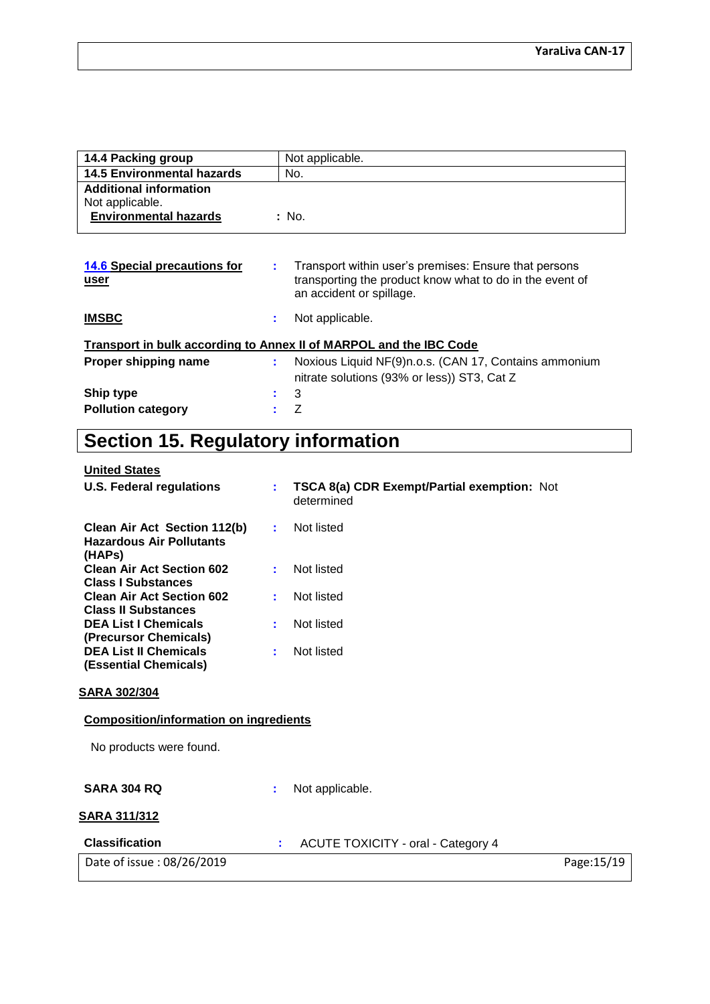| 14.4 Packing group                                                               | Not applicable.                                                                                                                                     |
|----------------------------------------------------------------------------------|-----------------------------------------------------------------------------------------------------------------------------------------------------|
| <b>14.5 Environmental hazards</b>                                                | No.                                                                                                                                                 |
| <b>Additional information</b><br>Not applicable.<br><b>Environmental hazards</b> | : No.                                                                                                                                               |
| <b>14.6 Special precautions for</b><br>user                                      | Transport within user's premises: Ensure that persons<br>t.<br>transporting the product know what to do in the event of<br>an accident or spillage. |
| <b>IMSBC</b>                                                                     | Not applicable.<br>t.                                                                                                                               |
|                                                                                  | Transport in bulk according to Annex II of MARPOL and the IBC Code                                                                                  |

|                           | <b>THE READ OF A READ OF A READ OF A READ OF A READY AND LODGED</b>                                  |
|---------------------------|------------------------------------------------------------------------------------------------------|
| Proper shipping name      | Noxious Liquid NF(9)n.o.s. (CAN 17, Contains ammonium<br>nitrate solutions (93% or less)) ST3, Cat Z |
| Ship type                 | $\pm$ 3                                                                                              |
| <b>Pollution category</b> | $\mathbf{z}$ /                                                                                       |

# **Section 15. Regulatory information**

| <b>U.S. Federal regulations</b>                                           | ÷. | TSCA 8(a) CDR Exempt/Partial exemption: Not<br>determined |             |
|---------------------------------------------------------------------------|----|-----------------------------------------------------------|-------------|
| Clean Air Act Section 112(b)<br><b>Hazardous Air Pollutants</b><br>(HAPs) | ÷. | Not listed                                                |             |
| <b>Clean Air Act Section 602</b><br><b>Class I Substances</b>             |    | Not listed                                                |             |
| <b>Clean Air Act Section 602</b><br><b>Class II Substances</b>            |    | Not listed                                                |             |
| <b>DEA List I Chemicals</b><br>(Precursor Chemicals)                      | ÷. | Not listed                                                |             |
| <b>DEA List II Chemicals</b><br>(Essential Chemicals)                     | ÷. | Not listed                                                |             |
| <u>SARA 302/304</u>                                                       |    |                                                           |             |
| <b>Composition/information on ingredients</b>                             |    |                                                           |             |
| No products were found.                                                   |    |                                                           |             |
| <b>SARA 304 RQ</b>                                                        | t. | Not applicable.                                           |             |
| <b>SARA 311/312</b>                                                       |    |                                                           |             |
| <b>Classification</b>                                                     | ÷. | <b>ACUTE TOXICITY - oral - Category 4</b>                 |             |
| Date of issue: 08/26/2019                                                 |    |                                                           | Page: 15/19 |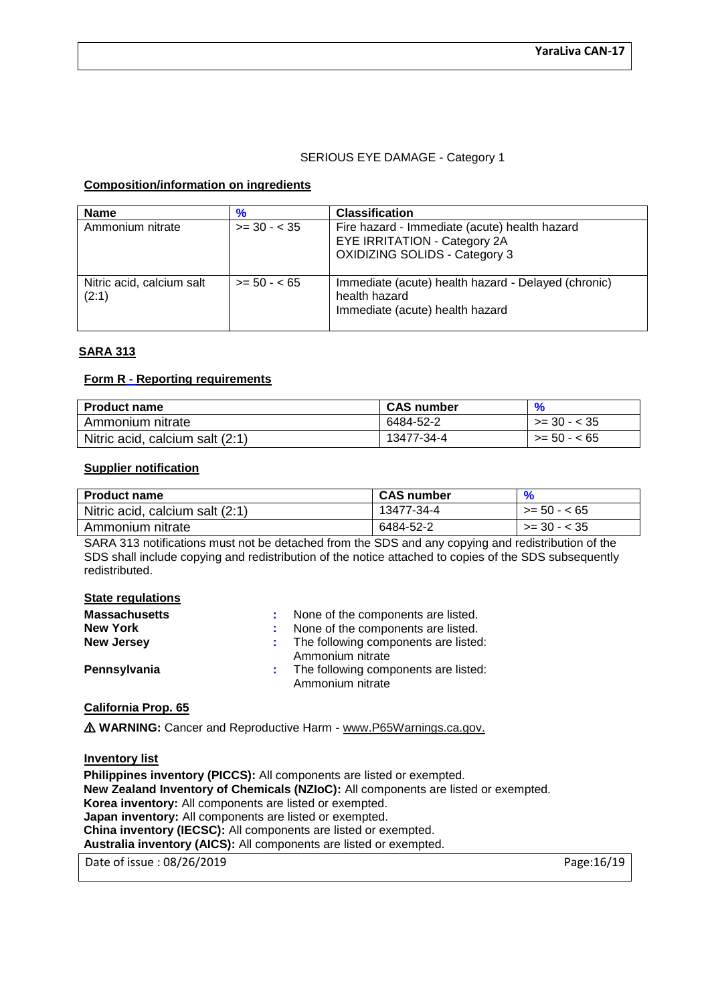# SERIOUS EYE DAMAGE - Category 1

### **Composition/information on ingredients**

| <b>Name</b>                        | $\frac{9}{6}$ | <b>Classification</b>                                                                                                 |
|------------------------------------|---------------|-----------------------------------------------------------------------------------------------------------------------|
| Ammonium nitrate                   | $>= 30 - 35$  | Fire hazard - Immediate (acute) health hazard<br>EYE IRRITATION - Category 2A<br><b>OXIDIZING SOLIDS - Category 3</b> |
| Nitric acid, calcium salt<br>(2:1) | $>= 50 - 65$  | Immediate (acute) health hazard - Delayed (chronic)<br>health hazard<br>Immediate (acute) health hazard               |

# **SARA 313**

## **Form R - Reporting requirements**

| <b>Product name</b>             | <b>CAS number</b> |              |
|---------------------------------|-------------------|--------------|
| Ammonium nitrate                | 6484-52-2         | $>= 30 - 35$ |
| Nitric acid, calcium salt (2:1) | 13477-34-4        | $>= 50 - 65$ |

#### **Supplier notification**

| <b>Product name</b>             | <b>CAS number</b> |                  |
|---------------------------------|-------------------|------------------|
| Nitric acid, calcium salt (2:1) | 13477-34-4        | $>= 50 - 65$     |
| Ammonium nitrate                | 6484-52-2         | $>=$ 30 - $<$ 35 |

SARA 313 notifications must not be detached from the SDS and any copying and redistribution of the SDS shall include copying and redistribution of the notice attached to copies of the SDS subsequently redistributed.

#### **State regulations**

| <b>Massachusetts</b> | : None of the components are listed.                       |
|----------------------|------------------------------------------------------------|
| <b>New York</b>      | : None of the components are listed.                       |
| <b>New Jersey</b>    | : The following components are listed:<br>Ammonium nitrate |
| Pennsylvania         | : The following components are listed:<br>Ammonium nitrate |

# **California Prop. 65**

⚠ **WARNING:** Cancer and Reproductive Harm - www.P65Warnings.ca.gov.

**Inventory list**

Date of issue : 08/26/2019 **Page:16/19** Page:16/19 **Philippines inventory (PICCS):** All components are listed or exempted. **New Zealand Inventory of Chemicals (NZIoC):** All components are listed or exempted. **Korea inventory:** All components are listed or exempted. **Japan inventory:** All components are listed or exempted. **China inventory (IECSC):** All components are listed or exempted. **Australia inventory (AICS):** All components are listed or exempted.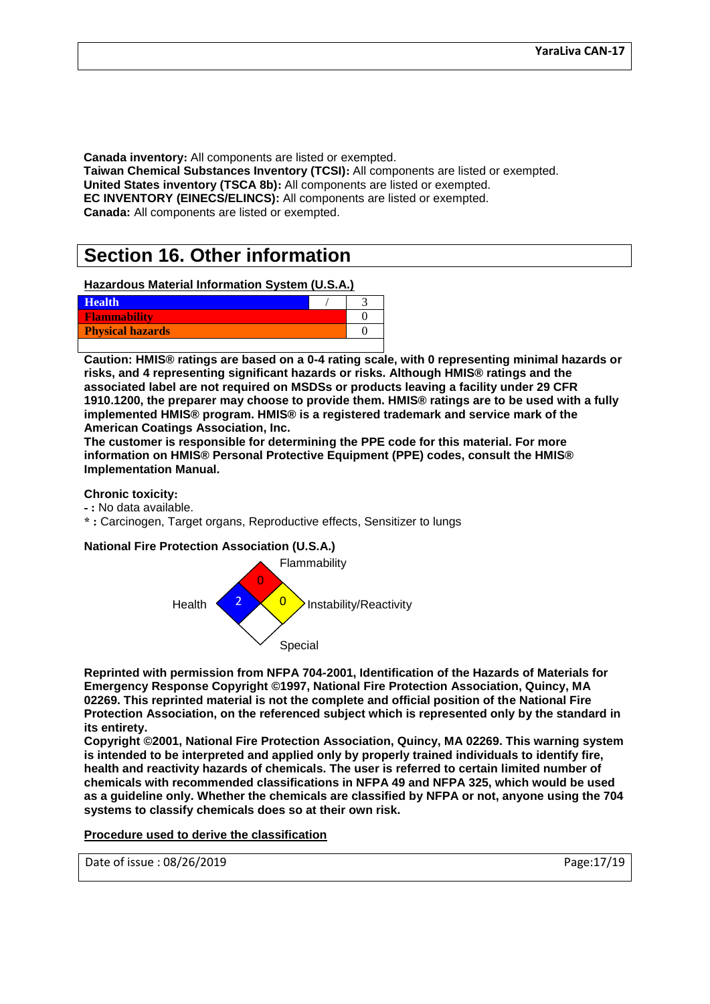**Canada inventory:** All components are listed or exempted. **Taiwan Chemical Substances Inventory (TCSI):** All components are listed or exempted. **United States inventory (TSCA 8b):** All components are listed or exempted. **EC INVENTORY (EINECS/ELINCS):** All components are listed or exempted. **Canada:** All components are listed or exempted.

# **Section 16. Other information**

### **Hazardous Material Information System (U.S.A.)**

| <b>Health</b>           |  |
|-------------------------|--|
| <b>Flammability</b>     |  |
| <b>Physical hazards</b> |  |
|                         |  |

**Caution: HMIS® ratings are based on a 0-4 rating scale, with 0 representing minimal hazards or risks, and 4 representing significant hazards or risks. Although HMIS® ratings and the associated label are not required on MSDSs or products leaving a facility under 29 CFR 1910.1200, the preparer may choose to provide them. HMIS® ratings are to be used with a fully implemented HMIS® program. HMIS® is a registered trademark and service mark of the American Coatings Association, Inc.**

**The customer is responsible for determining the PPE code for this material. For more information on HMIS® Personal Protective Equipment (PPE) codes, consult the HMIS® Implementation Manual.**

### **Chronic toxicity:**

- **- :** No data available.
- **\* :** Carcinogen, Target organs, Reproductive effects, Sensitizer to lungs

# **National Fire Protection Association (U.S.A.)**



**Reprinted with permission from NFPA 704-2001, Identification of the Hazards of Materials for Emergency Response Copyright ©1997, National Fire Protection Association, Quincy, MA 02269. This reprinted material is not the complete and official position of the National Fire Protection Association, on the referenced subject which is represented only by the standard in its entirety.**

**Copyright ©2001, National Fire Protection Association, Quincy, MA 02269. This warning system is intended to be interpreted and applied only by properly trained individuals to identify fire, health and reactivity hazards of chemicals. The user is referred to certain limited number of chemicals with recommended classifications in NFPA 49 and NFPA 325, which would be used as a guideline only. Whether the chemicals are classified by NFPA or not, anyone using the 704 systems to classify chemicals does so at their own risk.**

### **Procedure used to derive the classification**

Date of issue : 08/26/2019 Page:17/19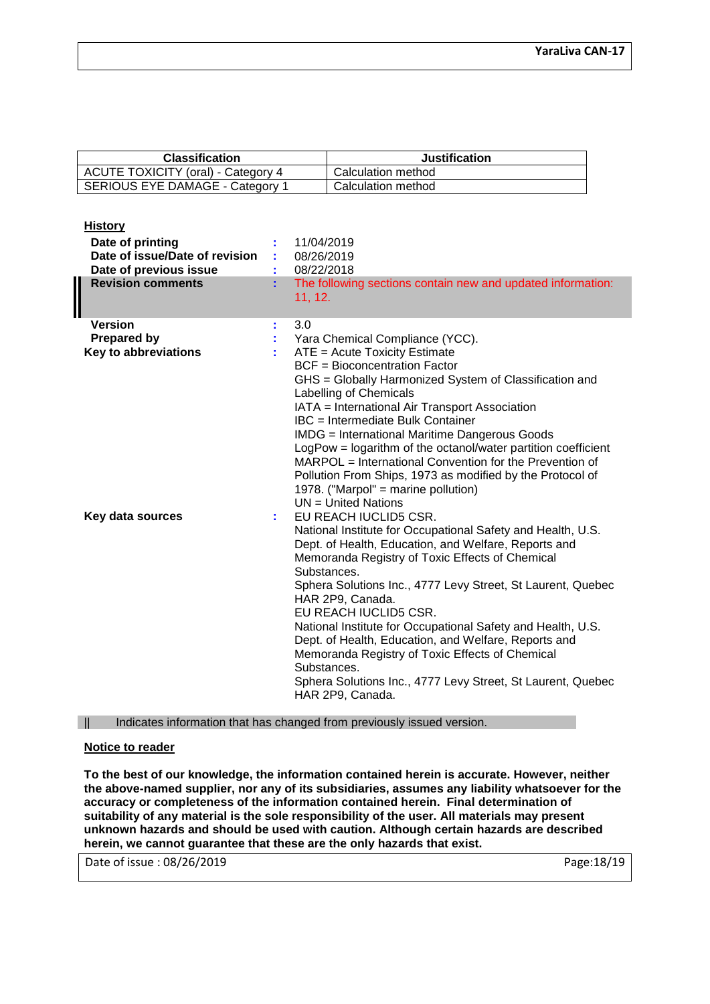| <b>Classification</b>                     | <b>Justification</b> |
|-------------------------------------------|----------------------|
| <b>ACUTE TOXICITY (oral) - Category 4</b> | Calculation method   |
| SERIOUS EYE DAMAGE - Category 1           | Calculation method   |

### **History**

| Date of printing<br>Date of issue/Date of revision<br>Date of previous issue<br><b>Revision comments</b> |    | 11/04/2019<br>08/26/2019<br>08/22/2018<br>The following sections contain new and updated information:<br>11, 12.                                                                                                                                                                                                                                                                                                                                                                                                                                                                                                   |
|----------------------------------------------------------------------------------------------------------|----|--------------------------------------------------------------------------------------------------------------------------------------------------------------------------------------------------------------------------------------------------------------------------------------------------------------------------------------------------------------------------------------------------------------------------------------------------------------------------------------------------------------------------------------------------------------------------------------------------------------------|
| <b>Version</b><br><b>Prepared by</b><br><b>Key to abbreviations</b>                                      | t, | 3.0<br>Yara Chemical Compliance (YCC).<br>ATE = Acute Toxicity Estimate<br><b>BCF</b> = Bioconcentration Factor<br>GHS = Globally Harmonized System of Classification and<br>Labelling of Chemicals<br>IATA = International Air Transport Association<br><b>IBC</b> = Intermediate Bulk Container<br><b>IMDG</b> = International Maritime Dangerous Goods<br>LogPow = logarithm of the octanol/water partition coefficient<br>MARPOL = International Convention for the Prevention of<br>Pollution From Ships, 1973 as modified by the Protocol of<br>1978. ("Marpol" = marine pollution)<br>$UN = United Nations$ |
| Key data sources                                                                                         |    | EU REACH IUCLID5 CSR.<br>National Institute for Occupational Safety and Health, U.S.<br>Dept. of Health, Education, and Welfare, Reports and<br>Memoranda Registry of Toxic Effects of Chemical<br>Substances.<br>Sphera Solutions Inc., 4777 Levy Street, St Laurent, Quebec<br>HAR 2P9, Canada.<br>EU REACH IUCLID5 CSR.<br>National Institute for Occupational Safety and Health, U.S.<br>Dept. of Health, Education, and Welfare, Reports and<br>Memoranda Registry of Toxic Effects of Chemical<br>Substances.<br>Sphera Solutions Inc., 4777 Levy Street, St Laurent, Quebec<br>HAR 2P9, Canada.             |

|| Indicates information that has changed from previously issued version.

### **Notice to reader**

**To the best of our knowledge, the information contained herein is accurate. However, neither the above-named supplier, nor any of its subsidiaries, assumes any liability whatsoever for the accuracy or completeness of the information contained herein. Final determination of suitability of any material is the sole responsibility of the user. All materials may present unknown hazards and should be used with caution. Although certain hazards are described herein, we cannot guarantee that these are the only hazards that exist.**

Date of issue : 08/26/2019 **Page:18/19** Page:18/19